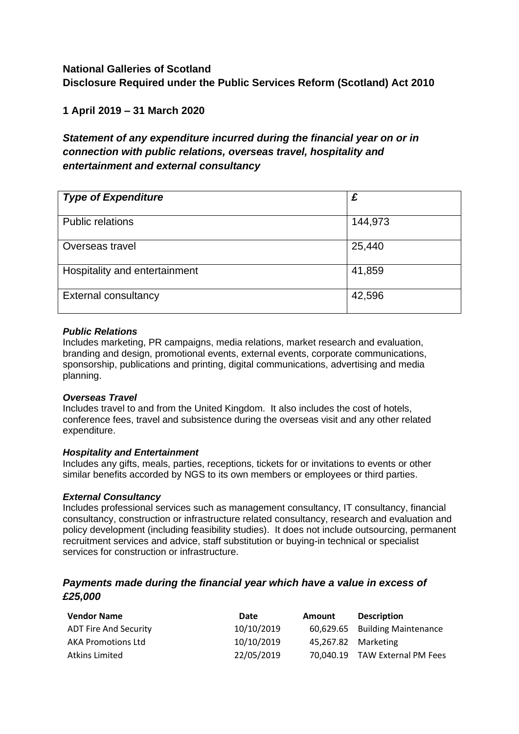# **National Galleries of Scotland Disclosure Required under the Public Services Reform (Scotland) Act 2010**

## **1 April 2019 – 31 March 2020**

# *Statement of any expenditure incurred during the financial year on or in connection with public relations, overseas travel, hospitality and entertainment and external consultancy*

| <b>Type of Expenditure</b>    | £       |
|-------------------------------|---------|
|                               |         |
| <b>Public relations</b>       | 144,973 |
| Overseas travel               | 25,440  |
| Hospitality and entertainment | 41,859  |
| <b>External consultancy</b>   | 42,596  |

#### *Public Relations*

Includes marketing, PR campaigns, media relations, market research and evaluation, branding and design, promotional events, external events, corporate communications, sponsorship, publications and printing, digital communications, advertising and media planning.

#### *Overseas Travel*

Includes travel to and from the United Kingdom. It also includes the cost of hotels, conference fees, travel and subsistence during the overseas visit and any other related expenditure.

#### *Hospitality and Entertainment*

Includes any gifts, meals, parties, receptions, tickets for or invitations to events or other similar benefits accorded by NGS to its own members or employees or third parties.

#### *External Consultancy*

Includes professional services such as management consultancy, IT consultancy, financial consultancy, construction or infrastructure related consultancy, research and evaluation and policy development (including feasibility studies). It does not include outsourcing, permanent recruitment services and advice, staff substitution or buying-in technical or specialist services for construction or infrastructure.

### *Payments made during the financial year which have a value in excess of £25,000*

| <b>Vendor Name</b>           | Date       | Amount              | <b>Description</b>             |
|------------------------------|------------|---------------------|--------------------------------|
| <b>ADT Fire And Security</b> | 10/10/2019 |                     | 60,629.65 Building Maintenance |
| <b>AKA Promotions Ltd</b>    | 10/10/2019 | 45,267.82 Marketing |                                |
| Atkins Limited               | 22/05/2019 |                     | 70,040.19 TAW External PM Fees |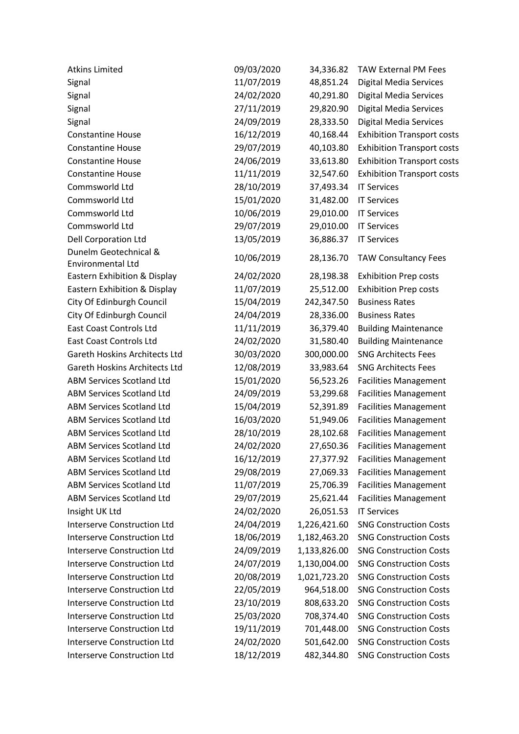| <b>Atkins Limited</b>              | 09/03/2020 | 34,336.82    | <b>TAW External PM Fees</b>       |
|------------------------------------|------------|--------------|-----------------------------------|
| Signal                             | 11/07/2019 | 48,851.24    | <b>Digital Media Services</b>     |
| Signal                             | 24/02/2020 | 40,291.80    | <b>Digital Media Services</b>     |
| Signal                             | 27/11/2019 | 29,820.90    | <b>Digital Media Services</b>     |
| Signal                             | 24/09/2019 | 28,333.50    | <b>Digital Media Services</b>     |
| <b>Constantine House</b>           | 16/12/2019 | 40,168.44    | <b>Exhibition Transport costs</b> |
| <b>Constantine House</b>           | 29/07/2019 | 40,103.80    | <b>Exhibition Transport costs</b> |
| <b>Constantine House</b>           | 24/06/2019 | 33,613.80    | <b>Exhibition Transport costs</b> |
| <b>Constantine House</b>           | 11/11/2019 | 32,547.60    | <b>Exhibition Transport costs</b> |
| Commsworld Ltd                     | 28/10/2019 | 37,493.34    | <b>IT Services</b>                |
| Commsworld Ltd                     | 15/01/2020 | 31,482.00    | <b>IT Services</b>                |
| Commsworld Ltd                     | 10/06/2019 | 29,010.00    | <b>IT Services</b>                |
| Commsworld Ltd                     | 29/07/2019 | 29,010.00    | <b>IT Services</b>                |
| <b>Dell Corporation Ltd</b>        | 13/05/2019 | 36,886.37    | <b>IT Services</b>                |
| Dunelm Geotechnical &              | 10/06/2019 | 28,136.70    | <b>TAW Consultancy Fees</b>       |
| Environmental Ltd                  |            |              |                                   |
| Eastern Exhibition & Display       | 24/02/2020 | 28,198.38    | <b>Exhibition Prep costs</b>      |
| Eastern Exhibition & Display       | 11/07/2019 | 25,512.00    | <b>Exhibition Prep costs</b>      |
| City Of Edinburgh Council          | 15/04/2019 | 242,347.50   | <b>Business Rates</b>             |
| City Of Edinburgh Council          | 24/04/2019 | 28,336.00    | <b>Business Rates</b>             |
| <b>East Coast Controls Ltd</b>     | 11/11/2019 | 36,379.40    | <b>Building Maintenance</b>       |
| <b>East Coast Controls Ltd</b>     | 24/02/2020 | 31,580.40    | <b>Building Maintenance</b>       |
| Gareth Hoskins Architects Ltd      | 30/03/2020 | 300,000.00   | <b>SNG Architects Fees</b>        |
| Gareth Hoskins Architects Ltd      | 12/08/2019 | 33,983.64    | <b>SNG Architects Fees</b>        |
| <b>ABM Services Scotland Ltd</b>   | 15/01/2020 | 56,523.26    | <b>Facilities Management</b>      |
| <b>ABM Services Scotland Ltd</b>   | 24/09/2019 | 53,299.68    | <b>Facilities Management</b>      |
| <b>ABM Services Scotland Ltd</b>   | 15/04/2019 | 52,391.89    | <b>Facilities Management</b>      |
| <b>ABM Services Scotland Ltd</b>   | 16/03/2020 | 51,949.06    | <b>Facilities Management</b>      |
| <b>ABM Services Scotland Ltd</b>   | 28/10/2019 | 28,102.68    | <b>Facilities Management</b>      |
| <b>ABM Services Scotland Ltd</b>   | 24/02/2020 | 27,650.36    | <b>Facilities Management</b>      |
| <b>ABM Services Scotland Ltd</b>   | 16/12/2019 | 27,377.92    | <b>Facilities Management</b>      |
| <b>ABM Services Scotland Ltd</b>   | 29/08/2019 | 27,069.33    | <b>Facilities Management</b>      |
| <b>ABM Services Scotland Ltd</b>   | 11/07/2019 | 25,706.39    | <b>Facilities Management</b>      |
| <b>ABM Services Scotland Ltd</b>   | 29/07/2019 | 25,621.44    | <b>Facilities Management</b>      |
| Insight UK Ltd                     | 24/02/2020 | 26,051.53    | <b>IT Services</b>                |
| <b>Interserve Construction Ltd</b> | 24/04/2019 | 1,226,421.60 | <b>SNG Construction Costs</b>     |
| <b>Interserve Construction Ltd</b> | 18/06/2019 | 1,182,463.20 | <b>SNG Construction Costs</b>     |
| <b>Interserve Construction Ltd</b> | 24/09/2019 | 1,133,826.00 | <b>SNG Construction Costs</b>     |
| <b>Interserve Construction Ltd</b> | 24/07/2019 | 1,130,004.00 | <b>SNG Construction Costs</b>     |
| <b>Interserve Construction Ltd</b> | 20/08/2019 | 1,021,723.20 | <b>SNG Construction Costs</b>     |
| <b>Interserve Construction Ltd</b> | 22/05/2019 | 964,518.00   | <b>SNG Construction Costs</b>     |
| <b>Interserve Construction Ltd</b> | 23/10/2019 | 808,633.20   | <b>SNG Construction Costs</b>     |
| <b>Interserve Construction Ltd</b> | 25/03/2020 | 708,374.40   | <b>SNG Construction Costs</b>     |
| <b>Interserve Construction Ltd</b> | 19/11/2019 | 701,448.00   | <b>SNG Construction Costs</b>     |
| <b>Interserve Construction Ltd</b> | 24/02/2020 | 501,642.00   | <b>SNG Construction Costs</b>     |
| Interserve Construction Ltd        | 18/12/2019 | 482,344.80   | <b>SNG Construction Costs</b>     |